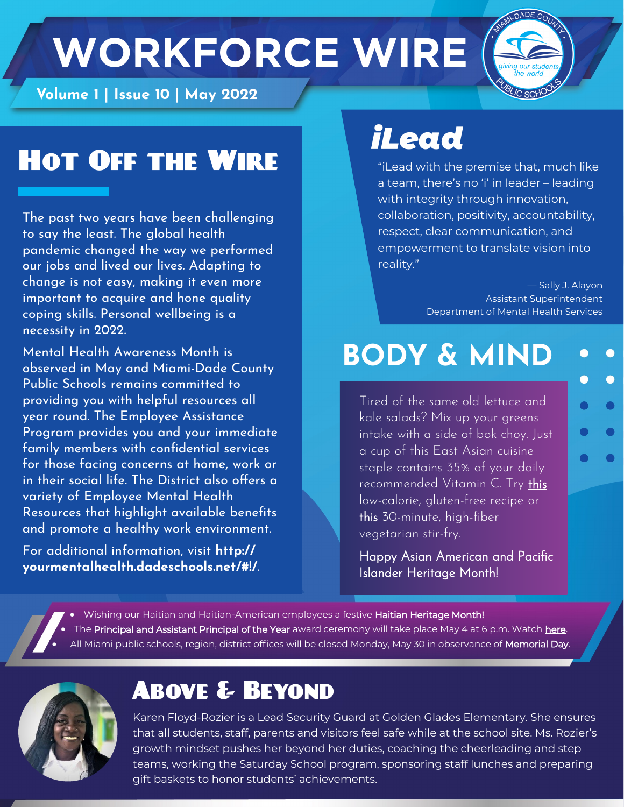# **Volume 1 | Issue 10 | May 2022**



#### Hot Off the Wire

The past two years have been challenging to say the least. The global health pandemic changed the way we performed our jobs and lived our lives. Adapting to change is not easy, making it even more important to acquire and hone quality coping skills. Personal wellbeing is a necessity in 2022.

Mental Health Awareness Month is observed in May and Miami-Dade County Public Schools remains committed to providing you with helpful resources all year round. The Employee Assistance Program provides you and your immediate family members with confidential services for those facing concerns at home, work or in their social life. The District also offers a variety of Employee Mental Health Resources that highlight available benefits and promote a healthy work environment.

For additional information, visit **[http://](http://yourmentalhealth.dadeschools.net/#!/) [yourmentalhealth.dadeschools.net/#!/](http://yourmentalhealth.dadeschools.net/#!/)**.

## *iLead*

"iLead with the premise that, much like a team, there's no 'i' in leader – leading with integrity through innovation, collaboration, positivity, accountability, respect, clear communication, and empowerment to translate vision into reality."

> — Sally J. Alayon Assistant Superintendent Department of Mental Health Services

### **BODY & MIND**

Tired of the same old lettuce and kale salads? Mix up your greens intake with a side of bok choy. Just a cup of this East Asian cuisine staple contains 35% of your daily recommended Vitamin C. Try [this](https://www.eatright.org/food/planning-and-prep/recipes/congee-with-bok-choy-and-mushrooms-recipe)  low-calorie, gluten-free recipe or [this 3](https://www.eatright.org/food/planning-and-prep/recipes/crispy-tofu-and-bok-choy-stir-fry-recipe)0-minute, high-fiber vegetarian stir-fry.

Happy Asian American and Pacific Islander Heritage Month!

• Wishing our Haitian and Haitian-American employees a festive Haitian Heritage Month! The Principal and Assistant Principal of the Year award ceremony will take place May 4 at 6 p.m. Watch [here.](https://nam10.safelinks.protection.outlook.com/?url=https%3A%2F%2Fwww.eduvision.tv%2Fl%3FeteRyeD&data=05%7C01%7Cannakrizia%40dadeschools.net%7C7d8851762c114cead9b208da24647f6f%7C4578f68f86cd4af9b31793e3826ca0f5%7C0%7C0%7C637862311316120654%7CUnknown%7CTWFp) All Miami public schools, region, district offices will be closed Monday, May 30 in observance of **Memorial Day**.



#### Above & Beyond

Karen Floyd-Rozier is a Lead Security Guard at Golden Glades Elementary. She ensures that all students, staff, parents and visitors feel safe while at the school site. Ms. Rozier's growth mindset pushes her beyond her duties, coaching the cheerleading and step teams, working the Saturday School program, sponsoring staff lunches and preparing gift baskets to honor students' achievements.